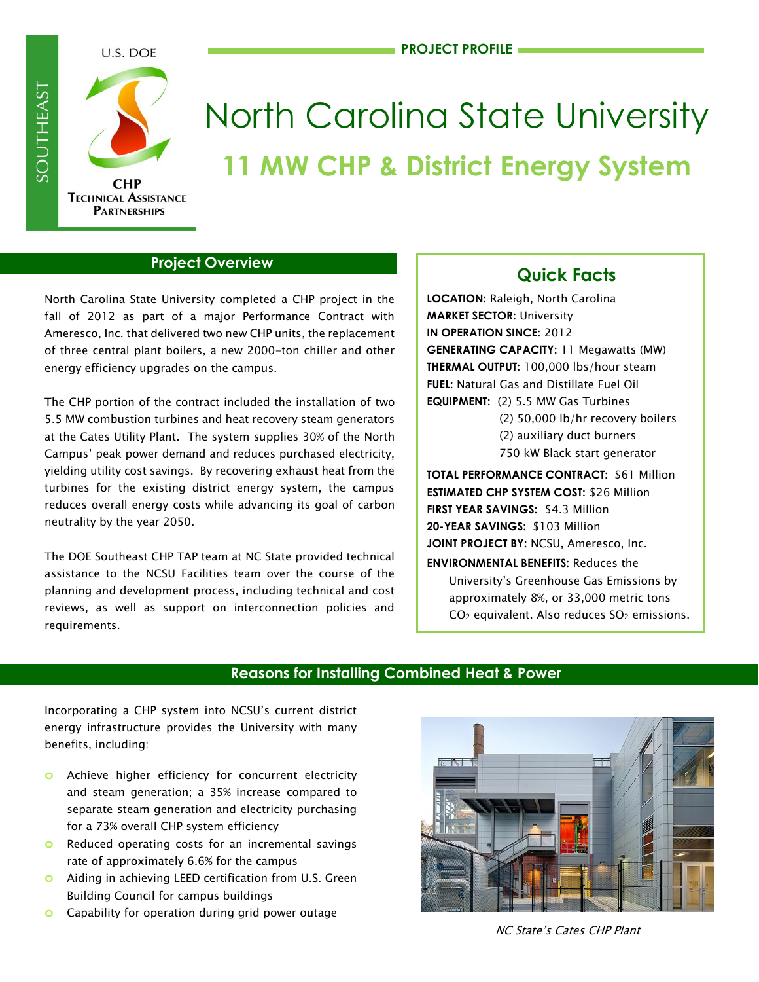

# North Carolina State University **11 MW CHP & District Energy System**

#### **Project Overview**

North Carolina State University completed a CHP project in the fall of 2012 as part of a major Performance Contract with Ameresco, Inc. that delivered two new CHP units, the replacement of three central plant boilers, a new 2000-ton chiller and other energy efficiency upgrades on the campus.

The CHP portion of the contract included the installation of two 5.5 MW combustion turbines and heat recovery steam generators at the Cates Utility Plant. The system supplies 30% of the North Campus' peak power demand and reduces purchased electricity, yielding utility cost savings. By recovering exhaust heat from the turbines for the existing district energy system, the campus reduces overall energy costs while advancing its goal of carbon neutrality by the year 2050.

The DOE Southeast CHP TAP team at NC State provided technical assistance to the NCSU Facilities team over the course of the planning and development process, including technical and cost reviews, as well as support on interconnection policies and requirements.

# **Quick Facts**

**LOCATION:** Raleigh, North Carolina **MARKET SECTOR:** University **IN OPERATION SINCE:** 2012 **GENERATING CAPACITY:** 11 Megawatts (MW) **THERMAL OUTPUT:** 100,000 lbs/hour steam **FUEL:** Natural Gas and Distillate Fuel Oil **EQUIPMENT:** (2) 5.5 MW Gas Turbines

(2) 50,000 lb/hr recovery boilers (2) auxiliary duct burners 750 kW Black start generator

**TOTAL PERFORMANCE CONTRACT:** \$61 Million **ESTIMATED CHP SYSTEM COST:** \$26 Million **FIRST YEAR SAVINGS:** \$4.3 Million **20-YEAR SAVINGS:** \$103 Million **JOINT PROJECT BY:** NCSU, Ameresco, Inc.

**ENVIRONMENTAL BENEFITS:** Reduces the University's Greenhouse Gas Emissions by approximately 8%, or 33,000 metric tons CO<sub>2</sub> equivalent. Also reduces SO<sub>2</sub> emissions.

### **Reasons for Installing Combined Heat & Power**

i.

Incorporating a CHP system into NCSU's current district energy infrastructure provides the University with many benefits, including:

- **o** Achieve higher efficiency for concurrent electricity and steam generation; a 35% increase compared to separate steam generation and electricity purchasing for a 73% overall CHP system efficiency
- **o** Reduced operating costs for an incremental savings rate of approximately 6.6% for the campus
- **o** Aiding in achieving LEED certification from U.S. Green Building Council for campus buildings
- **o** Capability for operation during grid power outage



NC State's Cates CHP Plant